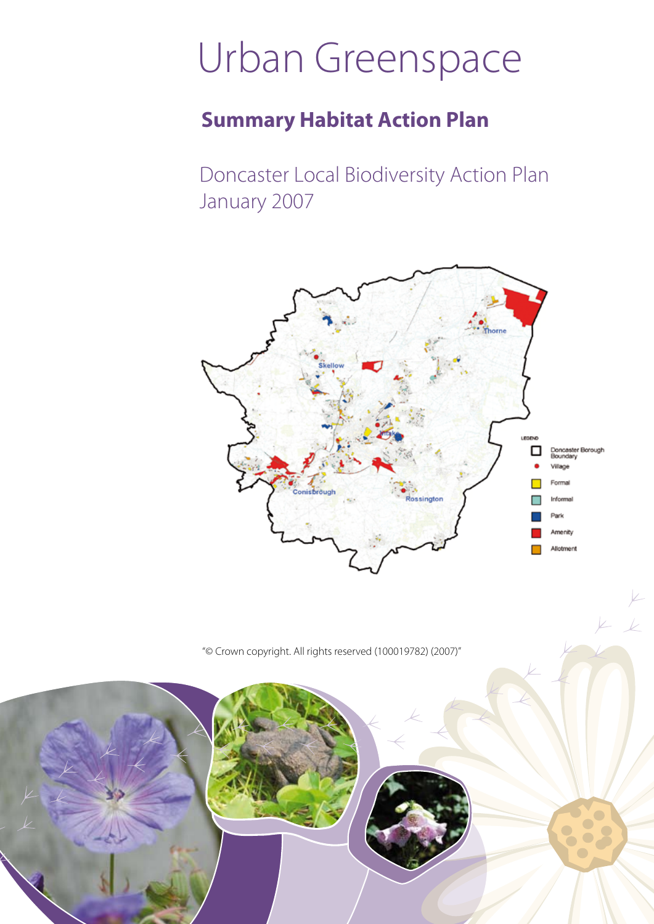# Urban Greenspace

## **Summary Habitat Action Plan**

Doncaster Local Biodiversity Action Plan January 2007



 $\mathcal{L}$ 

"© Crown copyright. All rights reserved (100019782) (2007)"

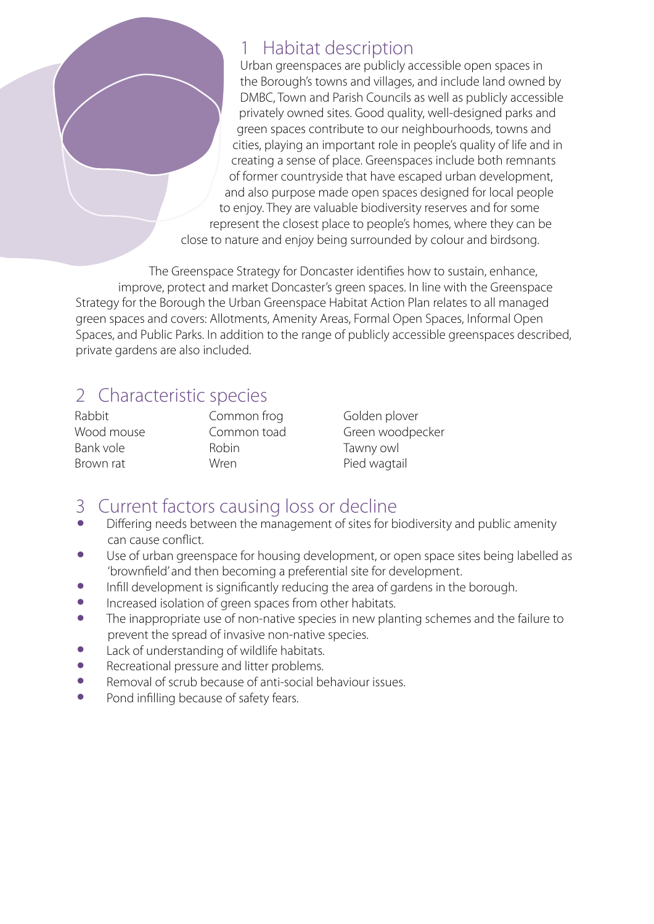### 1 Habitat description

Urban greenspaces are publicly accessible open spaces in the Borough's towns and villages, and include land owned by DMBC, Town and Parish Councils as well as publicly accessible privately owned sites. Good quality, well-designed parks and green spaces contribute to our neighbourhoods, towns and cities, playing an important role in people's quality of life and in creating a sense of place. Greenspaces include both remnants of former countryside that have escaped urban development, and also purpose made open spaces designed for local people to enjoy. They are valuable biodiversity reserves and for some represent the closest place to people's homes, where they can be close to nature and enjoy being surrounded by colour and birdsong.

The Greenspace Strategy for Doncaster identifies how to sustain, enhance, improve, protect and market Doncaster's green spaces. In line with the Greenspace Strategy for the Borough the Urban Greenspace Habitat Action Plan relates to all managed green spaces and covers: Allotments, Amenity Areas, Formal Open Spaces, Informal Open Spaces, and Public Parks. In addition to the range of publicly accessible greenspaces described, private gardens are also included.

## 2 Characteristic species

Rabbit Wood mouse Bank vole Brown rat

Common frog Common toad Robin Wren

Golden plover Green woodpecker Tawny owl Pied wagtail

- 3 Current factors causing loss or decline
- Differing needs between the management of sites for biodiversity and public amenity can cause conflict.
- Use of urban greenspace for housing development, or open space sites being labelled as 'brownfield' and then becoming a preferential site for development.
- Infill development is significantly reducing the area of gardens in the borough.<br>• Increased isolation of green spaces from other habitats
- Increased isolation of green spaces from other habitats.<br>• The inappropriate use of non-native species in new plar
- The inappropriate use of non-native species in new planting schemes and the failure to prevent the spread of invasive non-native species.
- Lack of understanding of wildlife habitats.<br>• Recreational pressure and litter problems
- Recreational pressure and litter problems.
- Removal of scrub because of anti-social behaviour issues.<br>• Pond infilling because of safety fears
- Pond infilling because of safety fears.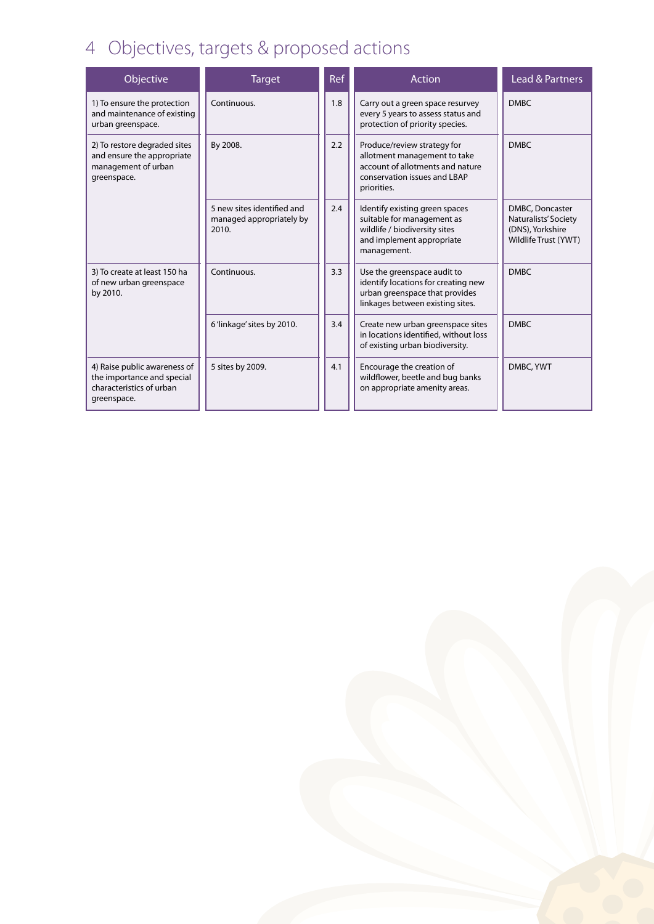## 4 Objectives, targets & proposed actions

| Objective                                                                                             | <b>Target</b>                                                   | Ref | Action                                                                                                                                         | Lead & Partners                                                                     |
|-------------------------------------------------------------------------------------------------------|-----------------------------------------------------------------|-----|------------------------------------------------------------------------------------------------------------------------------------------------|-------------------------------------------------------------------------------------|
| 1) To ensure the protection<br>and maintenance of existing<br>urban greenspace.                       | Continuous.                                                     | 1.8 | Carry out a green space resurvey<br>every 5 years to assess status and<br>protection of priority species.                                      | <b>DMBC</b>                                                                         |
| 2) To restore degraded sites<br>and ensure the appropriate<br>management of urban<br>greenspace.      | By 2008.                                                        | 2.2 | Produce/review strategy for<br>allotment management to take<br>account of allotments and nature<br>conservation issues and LBAP<br>priorities. | <b>DMBC</b>                                                                         |
|                                                                                                       | 5 new sites identified and<br>managed appropriately by<br>2010. | 2.4 | Identify existing green spaces<br>suitable for management as<br>wildlife / biodiversity sites<br>and implement appropriate<br>management.      | DMBC, Doncaster<br>Naturalists' Society<br>(DNS), Yorkshire<br>Wildlife Trust (YWT) |
| 3) To create at least 150 ha<br>of new urban greenspace<br>by 2010.                                   | Continuous.                                                     | 3.3 | Use the greenspace audit to<br>identify locations for creating new<br>urban greenspace that provides<br>linkages between existing sites.       | <b>DMBC</b>                                                                         |
|                                                                                                       | 6'linkage' sites by 2010.                                       | 3.4 | Create new urban greenspace sites<br>in locations identified, without loss<br>of existing urban biodiversity.                                  | <b>DMBC</b>                                                                         |
| 4) Raise public awareness of<br>the importance and special<br>characteristics of urban<br>greenspace. | 5 sites by 2009.                                                | 4.1 | Encourage the creation of<br>wildflower, beetle and bug banks<br>on appropriate amenity areas.                                                 | DMBC, YWT                                                                           |